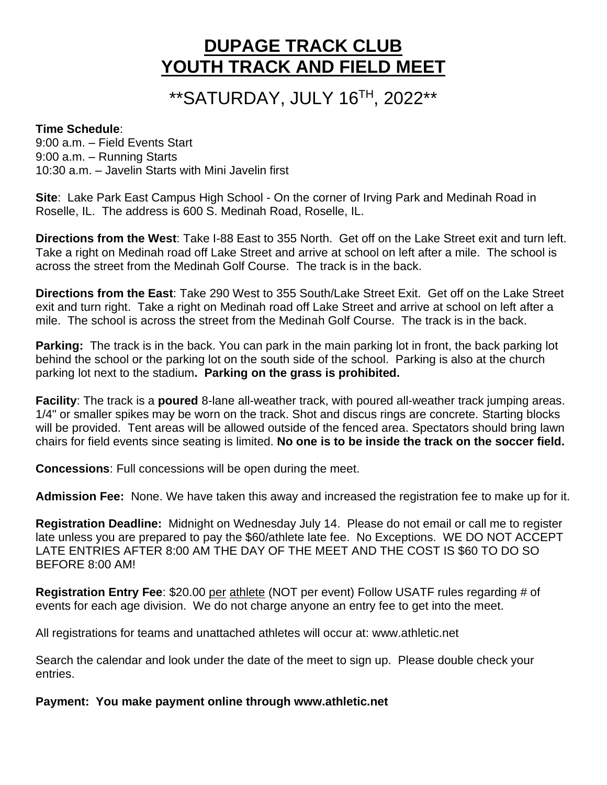# **DUPAGE TRACK CLUB YOUTH TRACK AND FIELD MEET**

# \*\*SATURDAY, JULY 16 TH, 2022\*\*

#### **Time Schedule**:

9:00 a.m. – Field Events Start 9:00 a.m. – Running Starts 10:30 a.m. – Javelin Starts with Mini Javelin first

**Site**: Lake Park East Campus High School - On the corner of Irving Park and Medinah Road in Roselle, IL. The address is 600 S. Medinah Road, Roselle, IL.

**Directions from the West**: Take I-88 East to 355 North. Get off on the Lake Street exit and turn left. Take a right on Medinah road off Lake Street and arrive at school on left after a mile. The school is across the street from the Medinah Golf Course. The track is in the back.

**Directions from the East**: Take 290 West to 355 South/Lake Street Exit. Get off on the Lake Street exit and turn right. Take a right on Medinah road off Lake Street and arrive at school on left after a mile. The school is across the street from the Medinah Golf Course. The track is in the back.

**Parking:** The track is in the back. You can park in the main parking lot in front, the back parking lot behind the school or the parking lot on the south side of the school. Parking is also at the church parking lot next to the stadium**. Parking on the grass is prohibited.**

**Facility**: The track is a **poured** 8-lane all-weather track, with poured all-weather track jumping areas. 1/4" or smaller spikes may be worn on the track. Shot and discus rings are concrete. Starting blocks will be provided. Tent areas will be allowed outside of the fenced area. Spectators should bring lawn chairs for field events since seating is limited. **No one is to be inside the track on the soccer field.**

**Concessions**: Full concessions will be open during the meet.

**Admission Fee:** None. We have taken this away and increased the registration fee to make up for it.

**Registration Deadline:** Midnight on Wednesday July 14. Please do not email or call me to register late unless you are prepared to pay the \$60/athlete late fee. No Exceptions. WE DO NOT ACCEPT LATE ENTRIES AFTER 8:00 AM THE DAY OF THE MEET AND THE COST IS \$60 TO DO SO BEFORE 8:00 AM!

**Registration Entry Fee**: \$20.00 per athlete (NOT per event) Follow USATF rules regarding # of events for each age division. We do not charge anyone an entry fee to get into the meet.

All registrations for teams and unattached athletes will occur at: www.athletic.net

Search the calendar and look under the date of the meet to sign up. Please double check your entries.

**Payment: You make payment online through www.athletic.net**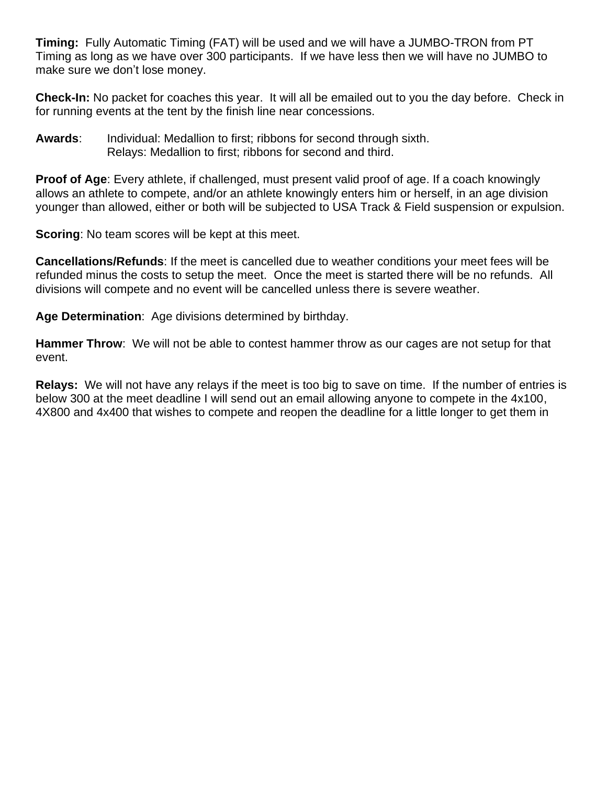**Timing:** Fully Automatic Timing (FAT) will be used and we will have a JUMBO-TRON from PT Timing as long as we have over 300 participants. If we have less then we will have no JUMBO to make sure we don't lose money.

**Check-In:** No packet for coaches this year. It will all be emailed out to you the day before. Check in for running events at the tent by the finish line near concessions.

**Awards**: Individual: Medallion to first; ribbons for second through sixth. Relays: Medallion to first; ribbons for second and third.

**Proof of Age**: Every athlete, if challenged, must present valid proof of age. If a coach knowingly allows an athlete to compete, and/or an athlete knowingly enters him or herself, in an age division younger than allowed, either or both will be subjected to USA Track & Field suspension or expulsion.

**Scoring:** No team scores will be kept at this meet.

**Cancellations/Refunds**: If the meet is cancelled due to weather conditions your meet fees will be refunded minus the costs to setup the meet. Once the meet is started there will be no refunds. All divisions will compete and no event will be cancelled unless there is severe weather.

**Age Determination**: Age divisions determined by birthday.

**Hammer Throw**: We will not be able to contest hammer throw as our cages are not setup for that event.

**Relays:** We will not have any relays if the meet is too big to save on time. If the number of entries is below 300 at the meet deadline I will send out an email allowing anyone to compete in the 4x100, 4X800 and 4x400 that wishes to compete and reopen the deadline for a little longer to get them in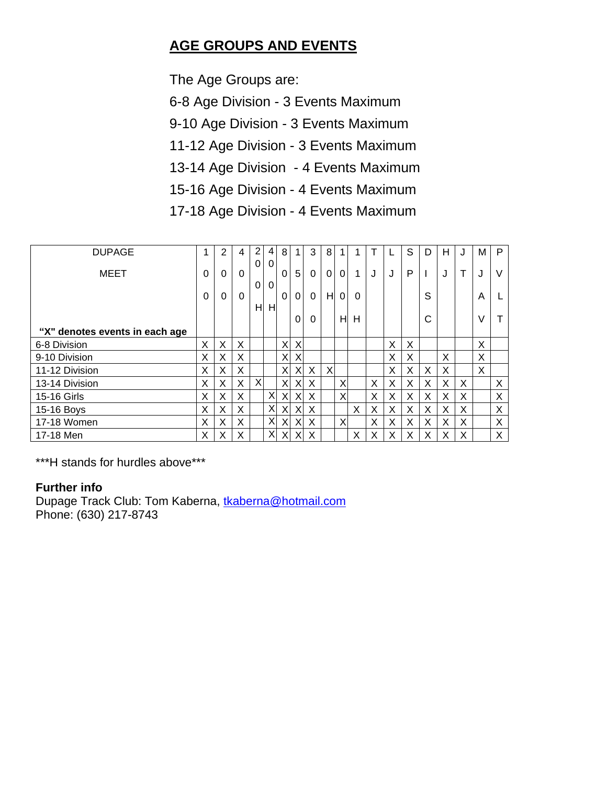## **AGE GROUPS AND EVENTS**

The Age Groups are:

6-8 Age Division - 3 Events Maximum

9-10 Age Division - 3 Events Maximum

11-12 Age Division - 3 Events Maximum

13-14 Age Division - 4 Events Maximum

15-16 Age Division - 4 Events Maximum

17-18 Age Division - 4 Events Maximum

| <b>DUPAGE</b>                  | 4        | 2        | 4        | $\overline{2}$ | 4                    | 8        |          | 3        | 8        |          |   |   |   | S | D | Н |   | м | P |
|--------------------------------|----------|----------|----------|----------------|----------------------|----------|----------|----------|----------|----------|---|---|---|---|---|---|---|---|---|
| MEET                           | 0        | $\Omega$ | $\Omega$ | 0<br>0         | $\Omega$<br>$\Omega$ | $\Omega$ | 5        | $\Omega$ | $\Omega$ | $\Omega$ | 1 | J | J | P | п | J | Т | J | V |
|                                | $\Omega$ | 0        | 0        |                |                      | $\Omega$ | $\Omega$ | 0        | H        | $\Omega$ | 0 |   |   |   | S |   |   | A |   |
|                                |          |          |          | H              | H                    |          | 0        | 0        |          | HI       | H |   |   |   | C |   |   | V |   |
| "X" denotes events in each age |          |          |          |                |                      |          |          |          |          |          |   |   |   |   |   |   |   |   |   |
| 6-8 Division                   | X        | X        | X        |                |                      | Χ        | X        |          |          |          |   |   | X | X |   |   |   | X |   |
| 9-10 Division                  | X        | X        | Χ        |                |                      | Χ        | X        |          |          |          |   |   | X | X |   | X |   | X |   |
| 11-12 Division                 | X        | X        | X        |                |                      | X        | X        | X        | X        |          |   |   | X | Χ | X | X |   | X |   |
| 13-14 Division                 | X        | X        | X        | $\times$       |                      | X        | X        | X        |          | X        |   | X | X | X | X | X | Χ |   | X |
| 15-16 Girls                    | X        | X        | X        |                | X                    | X        | X        | $\times$ |          | X        |   | X | X | X | X | X | Χ |   | X |
| 15-16 Boys                     | X        | X        | X        |                | X                    | X        | X        | X        |          |          | X | X | X | Χ | X | X | Χ |   | X |
| 17-18 Women                    | X        | X        | X        |                | X                    | X        | X        | $\times$ |          | X        |   | X | X | X | X | X | X |   | X |
| 17-18 Men                      | X        | X        | X        |                | X                    | X        | X        | X        |          |          | X | Х | X | Χ | Х | X | X |   | X |

\*\*\*H stands for hurdles above\*\*\*

#### **Further info**

Dupage Track Club: Tom Kaberna, [tkaberna@hotmail.com](mailto:tkaberna@hotmail.com) Phone: (630) 217-8743